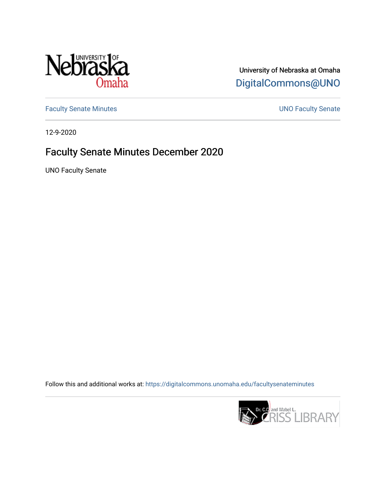

University of Nebraska at Omaha [DigitalCommons@UNO](https://digitalcommons.unomaha.edu/) 

[Faculty Senate Minutes](https://digitalcommons.unomaha.edu/facultysenateminutes) **Exercise Senate UNO Faculty Senate** 

12-9-2020

# Faculty Senate Minutes December 2020

UNO Faculty Senate

Follow this and additional works at: [https://digitalcommons.unomaha.edu/facultysenateminutes](https://digitalcommons.unomaha.edu/facultysenateminutes?utm_source=digitalcommons.unomaha.edu%2Ffacultysenateminutes%2F10&utm_medium=PDF&utm_campaign=PDFCoverPages) 

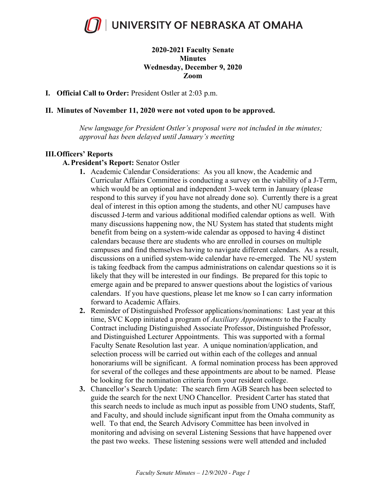

## **2020-2021 Faculty Senate Minutes Wednesday, December 9, 2020 Zoom**

#### **I. Official Call to Order:** President Ostler at 2:03 p.m.

## **II. Minutes of November 11, 2020 were not voted upon to be approved.**

*New language for President Ostler's proposal were not included in the minutes; approval has been delayed until January's meeting*

## **III.Officers' Reports**

- **A. President's Report:** Senator Ostler
	- **1.** Academic Calendar Considerations: As you all know, the Academic and Curricular Affairs Committee is conducting a survey on the viability of a J-Term, which would be an optional and independent 3-week term in January (please respond to this survey if you have not already done so). Currently there is a great deal of interest in this option among the students, and other NU campuses have discussed J-term and various additional modified calendar options as well. With many discussions happening now, the NU System has stated that students might benefit from being on a system-wide calendar as opposed to having 4 distinct calendars because there are students who are enrolled in courses on multiple campuses and find themselves having to navigate different calendars. As a result, discussions on a unified system-wide calendar have re-emerged. The NU system is taking feedback from the campus administrations on calendar questions so it is likely that they will be interested in our findings. Be prepared for this topic to emerge again and be prepared to answer questions about the logistics of various calendars. If you have questions, please let me know so I can carry information forward to Academic Affairs.
	- **2.** Reminder of Distinguished Professor applications/nominations: Last year at this time, SVC Kopp initiated a program of *Auxiliary Appointments* to the Faculty Contract including Distinguished Associate Professor, Distinguished Professor, and Distinguished Lecturer Appointments. This was supported with a formal Faculty Senate Resolution last year. A unique nomination/application, and selection process will be carried out within each of the colleges and annual honorariums will be significant. A formal nomination process has been approved for several of the colleges and these appointments are about to be named. Please be looking for the nomination criteria from your resident college.
	- **3.** Chancellor's Search Update: The search firm AGB Search has been selected to guide the search for the next UNO Chancellor. President Carter has stated that this search needs to include as much input as possible from UNO students, Staff, and Faculty, and should include significant input from the Omaha community as well. To that end, the Search Advisory Committee has been involved in monitoring and advising on several Listening Sessions that have happened over the past two weeks. These listening sessions were well attended and included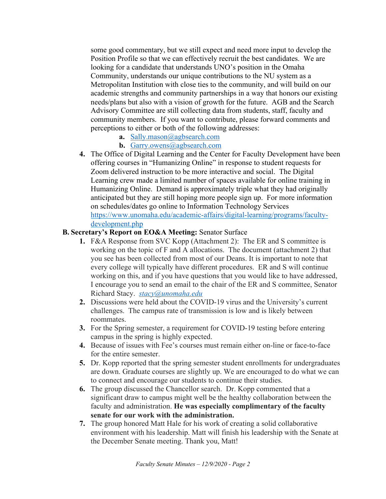some good commentary, but we still expect and need more input to develop the Position Profile so that we can effectively recruit the best candidates. We are looking for a candidate that understands UNO's position in the Omaha Community, understands our unique contributions to the NU system as a Metropolitan Institution with close ties to the community, and will build on our academic strengths and community partnerships in a way that honors our existing needs/plans but also with a vision of growth for the future. AGB and the Search Advisory Committee are still collecting data from students, staff, faculty and community members. If you want to contribute, please forward comments and perceptions to either or both of the following addresses:

- **a.** Sally.mason@agbsearch.com
- **b.** Garry.owens@agbsearch.com
- **4.** The Office of Digital Learning and the Center for Faculty Development have been offering courses in "Humanizing Online" in response to student requests for Zoom delivered instruction to be more interactive and social. The Digital Learning crew made a limited number of spaces available for online training in Humanizing Online. Demand is approximately triple what they had originally anticipated but they are still hoping more people sign up. For more information on schedules/dates go online to Information Technology Services https://www.unomaha.edu/academic-affairs/digital-learning/programs/facultydevelopment.php

## **B. Secretary's Report on EO&A Meeting:** Senator Surface

- **1.** F&A Response from SVC Kopp (Attachment 2): The ER and S committee is working on the topic of F and A allocations. The document (attachment 2) that you see has been collected from most of our Deans. It is important to note that every college will typically have different procedures. ER and S will continue working on this, and if you have questions that you would like to have addressed, I encourage you to send an email to the chair of the ER and S committee, Senator Richard Stacy. *stacy@unomaha.edu*
- **2.** Discussions were held about the COVID-19 virus and the University's current challenges. The campus rate of transmission is low and is likely between roommates.
- **3.** For the Spring semester, a requirement for COVID-19 testing before entering campus in the spring is highly expected.
- **4.** Because of issues with Fee's courses must remain either on-line or face-to-face for the entire semester.
- **5.** Dr. Kopp reported that the spring semester student enrollments for undergraduates are down. Graduate courses are slightly up. We are encouraged to do what we can to connect and encourage our students to continue their studies.
- **6.** The group discussed the Chancellor search. Dr. Kopp commented that a significant draw to campus might well be the healthy collaboration between the faculty and administration. **He was especially complimentary of the faculty senate for our work with the administration.**
- **7.** The group honored Matt Hale for his work of creating a solid collaborative environment with his leadership. Matt will finish his leadership with the Senate at the December Senate meeting. Thank you, Matt!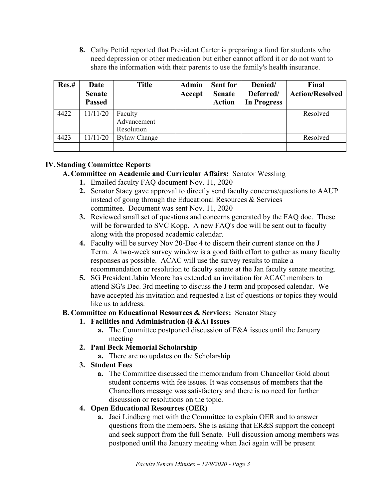**8.** Cathy Pettid reported that President Carter is preparing a fund for students who need depression or other medication but either cannot afford it or do not want to share the information with their parents to use the family's health insurance.

| Res.# | Date<br><b>Senate</b><br><b>Passed</b> | <b>Title</b>                         | <b>Admin</b><br>Accept | <b>Sent for</b><br><b>Senate</b><br><b>Action</b> | Denied/<br>Deferred/<br><b>In Progress</b> | Final<br><b>Action/Resolved</b> |
|-------|----------------------------------------|--------------------------------------|------------------------|---------------------------------------------------|--------------------------------------------|---------------------------------|
| 4422  | 11/11/20                               | Faculty<br>Advancement<br>Resolution |                        |                                                   |                                            | Resolved                        |
| 4423  | 11/11/20                               | <b>Bylaw Change</b>                  |                        |                                                   |                                            | Resolved                        |

# **IV.Standing Committee Reports**

# **A. Committee on Academic and Curricular Affairs:** Senator Wessling

- **1.** Emailed faculty FAQ document Nov. 11, 2020
- **2.** Senator Stacy gave approval to directly send faculty concerns/questions to AAUP instead of going through the Educational Resources & Services committee. Document was sent Nov. 11, 2020
- **3.** Reviewed small set of questions and concerns generated by the FAQ doc. These will be forwarded to SVC Kopp. A new FAQ's doc will be sent out to faculty along with the proposed academic calendar.
- **4.** Faculty will be survey Nov 20-Dec 4 to discern their current stance on the J Term. A two-week survey window is a good faith effort to gather as many faculty responses as possible. ACAC will use the survey results to make a recommendation or resolution to faculty senate at the Jan faculty senate meeting.
- **5.** SG President Jabin Moore has extended an invitation for ACAC members to attend SG's Dec. 3rd meeting to discuss the J term and proposed calendar. We have accepted his invitation and requested a list of questions or topics they would like us to address.

## **B. Committee on Educational Resources & Services:** Senator Stacy

# **1. Facilities and Administration (F&A) Issues**

- **a.** The Committee postponed discussion of F&A issues until the January meeting
- **2. Paul Beck Memorial Scholarship**
	- **a.** There are no updates on the Scholarship
- **3. Student Fees**
	- **a.** The Committee discussed the memorandum from Chancellor Gold about student concerns with fee issues. It was consensus of members that the Chancellors message was satisfactory and there is no need for further discussion or resolutions on the topic.

# **4. Open Educational Resources (OER)**

**a.** Jaci Lindberg met with the Committee to explain OER and to answer questions from the members. She is asking that ER&S support the concept and seek support from the full Senate. Full discussion among members was postponed until the January meeting when Jaci again will be present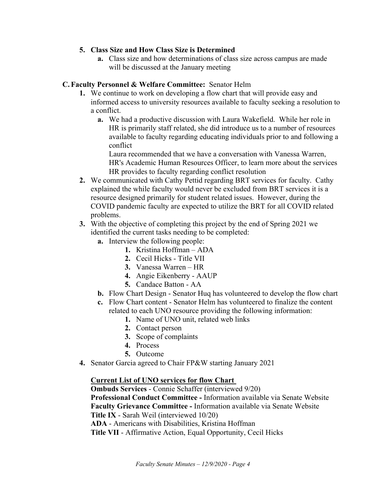## **5. Class Size and How Class Size is Determined**

**a.** Class size and how determinations of class size across campus are made will be discussed at the January meeting

## **C. Faculty Personnel & Welfare Committee:** Senator Helm

- **1.** We continue to work on developing a flow chart that will provide easy and informed access to university resources available to faculty seeking a resolution to a conflict.
	- **a.** We had a productive discussion with Laura Wakefield. While her role in HR is primarily staff related, she did introduce us to a number of resources available to faculty regarding educating individuals prior to and following a conflict

Laura recommended that we have a conversation with Vanessa Warren, HR's Academic Human Resources Officer, to learn more about the services HR provides to faculty regarding conflict resolution

- **2.** We communicated with Cathy Pettid regarding BRT services for faculty. Cathy explained the while faculty would never be excluded from BRT services it is a resource designed primarily for student related issues. However, during the COVID pandemic faculty are expected to utilize the BRT for all COVID related problems.
- **3.** With the objective of completing this project by the end of Spring 2021 we identified the current tasks needing to be completed:
	- **a.** Interview the following people:
		- **1.** Kristina Hoffman ADA
		- **2.** Cecil Hicks Title VII
		- **3.** Vanessa Warren HR
		- **4.** Angie Eikenberry AAUP
		- **5.** Candace Batton AA
	- **b.** Flow Chart Design Senator Huq has volunteered to develop the flow chart
	- **c.** Flow Chart content Senator Helm has volunteered to finalize the content related to each UNO resource providing the following information:
		- **1.** Name of UNO unit, related web links
		- **2.** Contact person
		- **3.** Scope of complaints
		- **4.** Process
		- **5.** Outcome
- **4.** Senator Garcia agreed to Chair FP&W starting January 2021

## **Current List of UNO services for flow Chart**

 **Ombuds Services** - Connie Schaffer (interviewed 9/20) **Professional Conduct Committee -** Information available via Senate Website **Faculty Grievance Committee -** Information available via Senate Website **Title IX** - Sarah Weil (interviewed 10/20) **ADA** - Americans with Disabilities, Kristina Hoffman **Title VII** - Affirmative Action, Equal Opportunity, Cecil Hicks